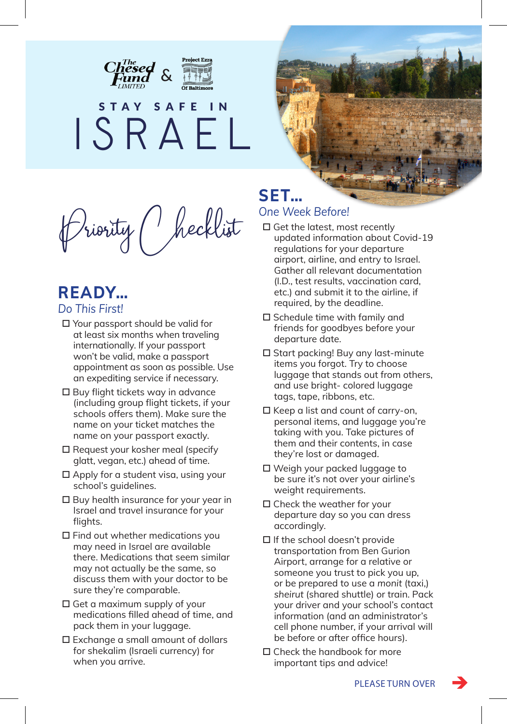



Priority Checklist

## **READY…** *Do This First!*

- Your passport should be valid for at least six months when traveling internationally. If your passport won't be valid, make a passport appointment as soon as possible. Use an expediting service if necessary.
- □ Buy flight tickets way in advance (including group flight tickets, if your schools offers them). Make sure the name on your ticket matches the name on your passport exactly.
- $\square$  Request your kosher meal (specify glatt, vegan, etc.) ahead of time.
- $\square$  Apply for a student visa, using your school's guidelines.
- $\square$  Buy health insurance for your year in Israel and travel insurance for your flights.
- $\square$  Find out whether medications you may need in Israel are available there. Medications that seem similar may not actually be the same, so discuss them with your doctor to be sure they're comparable.
- $\square$  Get a maximum supply of your medications filled ahead of time, and pack them in your luggage.
- Exchange a small amount of dollars for shekalim (Israeli currency) for when you arrive.

## **SET…** *One Week Before!*

- $\square$  Get the latest, most recently updated information about Covid-19 regulations for your departure airport, airline, and entry to Israel. Gather all relevant documentation (I.D., test results, vaccination card, etc.) and submit it to the airline, if required, by the deadline.
- $\square$  Schedule time with family and friends for goodbyes before your departure date.
- □ Start packing! Buy any last-minute items you forgot. Try to choose luggage that stands out from others, and use bright- colored luggage tags, tape, ribbons, etc.
- $\square$  Keep a list and count of carry-on, personal items, and luggage you're taking with you. Take pictures of them and their contents, in case they're lost or damaged.
- Weigh your packed luggage to be sure it's not over your airline's weight requirements.
- $\square$  Check the weather for your departure day so you can dress accordingly.
- $\Box$  If the school doesn't provide transportation from Ben Gurion Airport, arrange for a relative or someone you trust to pick you up, or be prepared to use a *monit* (taxi,) *sheirut* (shared shuttle) or train. Pack your driver and your school's contact information (and an administrator's cell phone number, if your arrival will be before or after office hours).
- $\square$  Check the handbook for more important tips and advice!